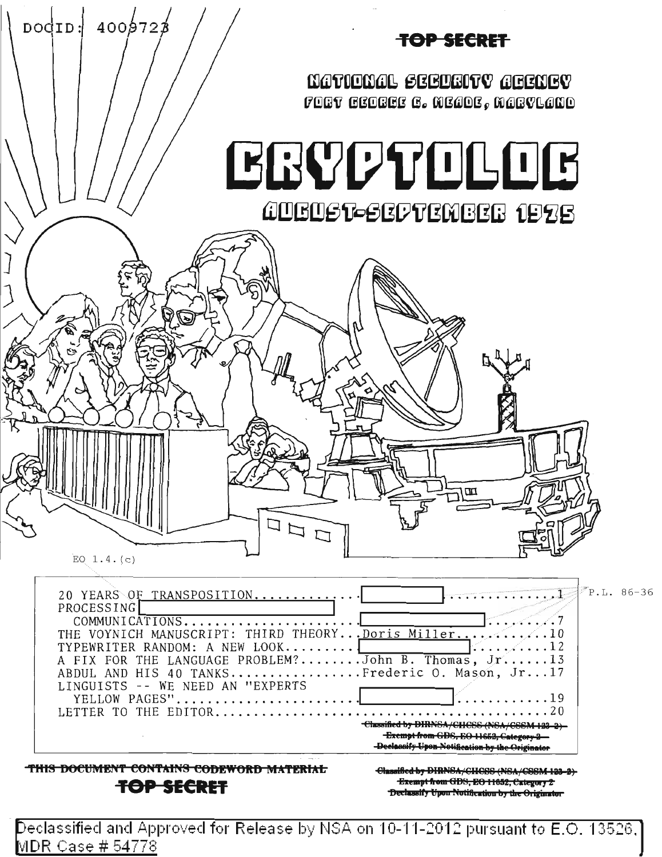

Declassified and Approved for Release by NSA on 10-11-2012 pursuant to E.O. 13526. MDR Case # 54778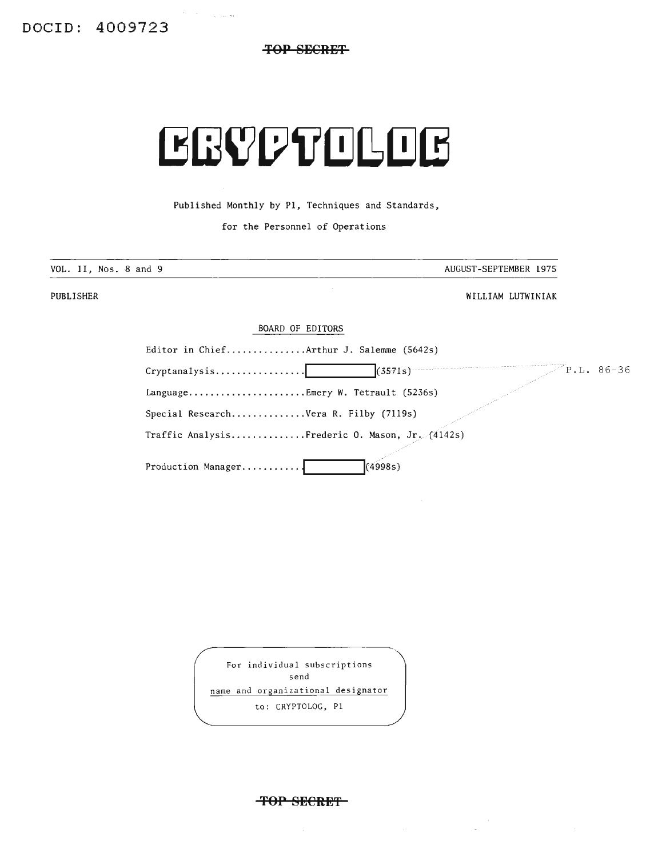**TOP SECRET**

# **ERVPTOLOB**

Published Monthly by PI, Techniques and Standards,

for the Personnel of Operations

| AUGUST-SEPTEMBER 1975 |
|-----------------------|
| WILLIAM LUTWINIAK     |
|                       |
|                       |

| Editor in ChiefArthur J. Salemme (5642s)                                                |  |
|-----------------------------------------------------------------------------------------|--|
| (3571s)<br>$\mathbb{P}\cdot\mathbb{L}$ . 86-36<br>$Crypt analysis \ldots \ldots \ldots$ |  |
| LanguageEmery W. Tetrault $(5236s)$                                                     |  |
| Special ResearchVera R. Filby (7119s)                                                   |  |
|                                                                                         |  |

Traffic Analysis..............Frederic O. Mason, Jr.  $(4142s)$ 

Production Manager............  $(4998s)$ 

For individual subscriptions send name and organizational designator to: CRYPTOLOG. PI

**'FOP SECRET**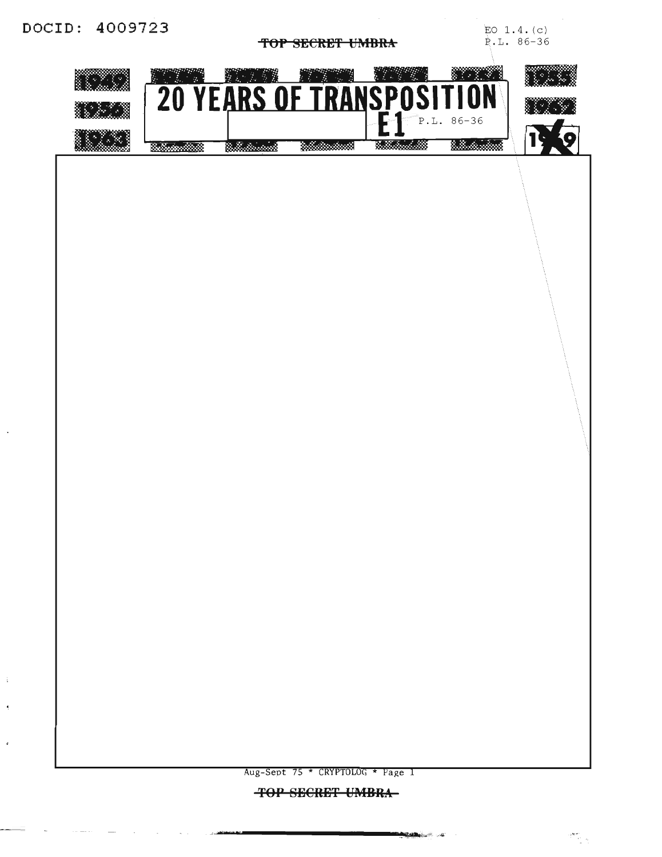$\mathbf i$ 

 $\overline{\phantom{a}}$ 

J.

TOP SECRET UMBRA

EO  $1.4. (c)$ P.L. 86-36

 $\frac{d_{\text{max}}}{d_{\text{max}}}$ 



**TOP SECRET UMBRA-**

**STATISTICS** 

 $\sim$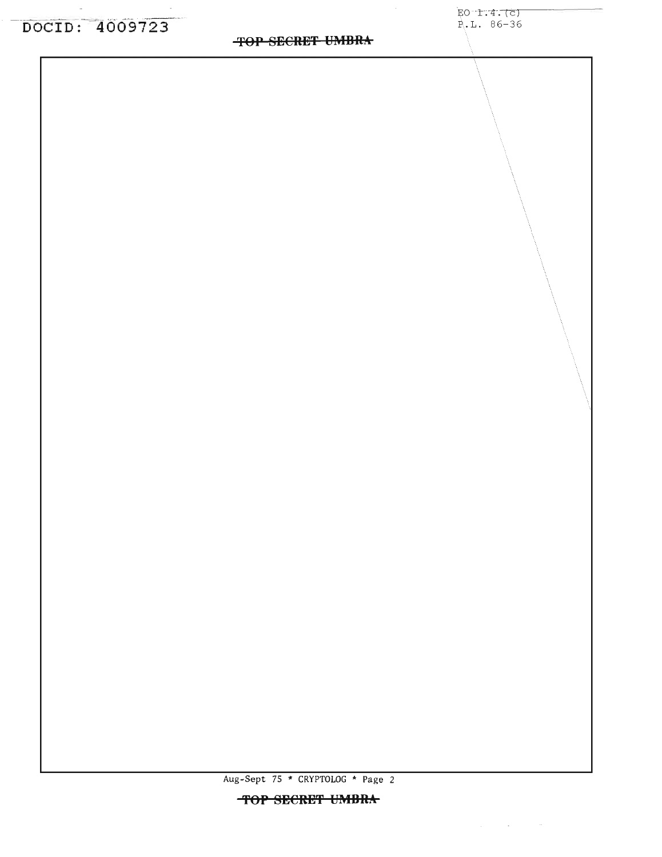### **TOP SECRET UMBRA**

EO 1.4. (c) P.L. 86-36

 $\Delta\phi$  and  $\Delta\phi$  and  $\Delta\phi$ 

Aug-Sept 75 \* CRYPTOLOG \* Page 2 TOP SECRET UMBRA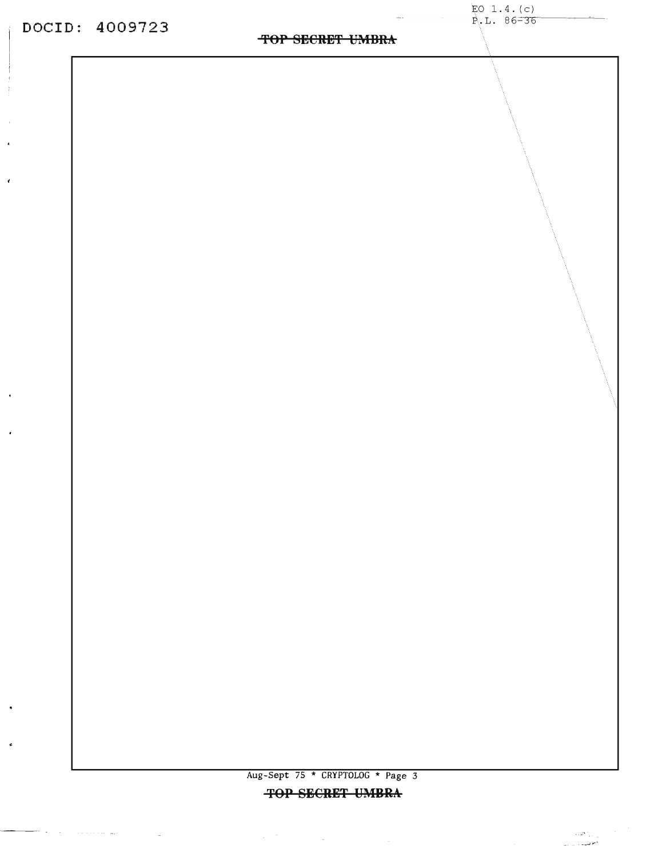$\cdot$ 

 $\epsilon$ 

 $\bullet$ 

<del>ent</del>orial proposes and an

 $\sim$   $-$ 

### TOP SECRET UMBRA

Aug-Sept 75 \* CRYPTOLOG \* Page 3 **TOP SECRET UMBRA** 

 $\label{eq:2.1} \frac{1}{2} \sum_{i=1}^n \frac{1}{2} \sum_{i=1}^n \frac{1}{2} \sum_{j=1}^n \frac{1}{2} \sum_{i=1}^n \frac{1}{2} \sum_{i=1}^n \frac{1}{2} \sum_{j=1}^n \frac{1}{2} \sum_{j=1}^n \frac{1}{2} \sum_{j=1}^n \frac{1}{2} \sum_{j=1}^n \frac{1}{2} \sum_{j=1}^n \frac{1}{2} \sum_{j=1}^n \frac{1}{2} \sum_{j=1}^n \frac{1}{2} \sum_{j=1}^n \frac{$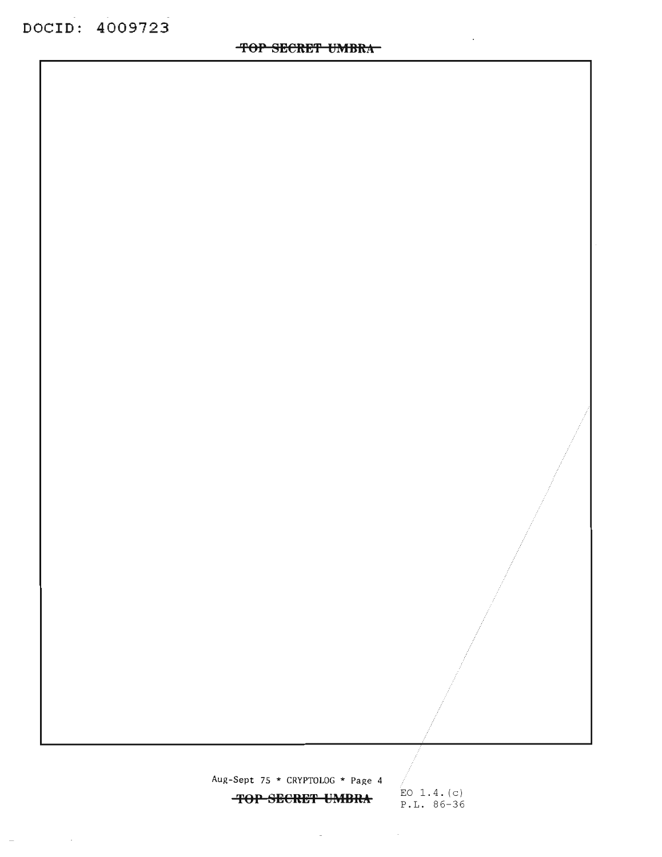$\frac{1}{2} \left( \frac{1}{2} \right)$  ,  $\frac{1}{2} \left( \frac{1}{2} \right)$  ,  $\frac{1}{2} \left( \frac{1}{2} \right)$ 

 $\sim$   $\sim$ 

Aug-Sept 75 \* CRYPTOLOG \* Page 4

 $\begin{array}{c|c}\n\text{Left 75 * CRTPTOLOG * Page 4} \\
\hline\n\text{FOP SECRET UMBRA} & \text{EQ 1.4. (c)} \\
\hline\n\end{array}$ 

 $\sim 10^{-11}$ 

P.L. 86-36

 $\sim$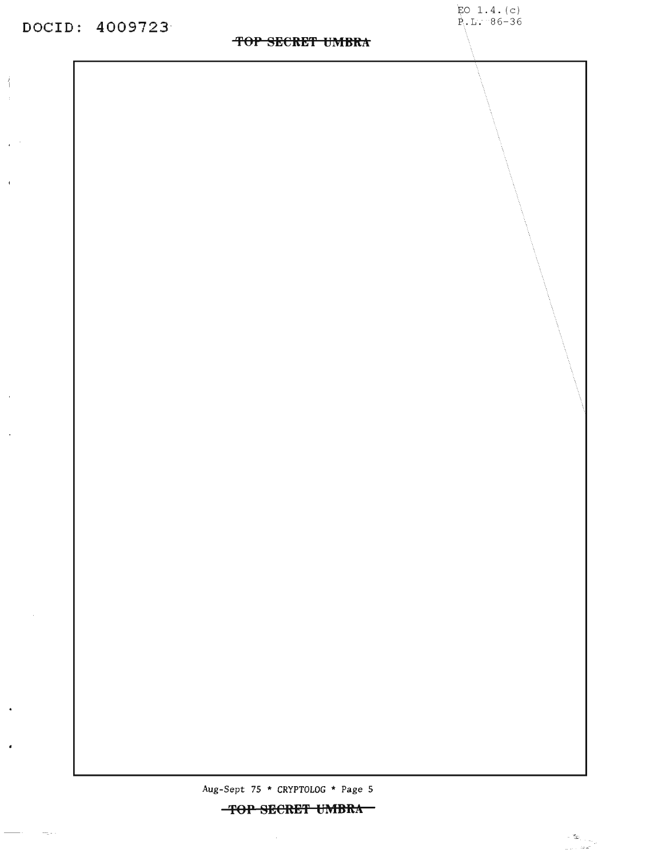$\frac{1}{2}$ 

 $\sim$   $^{-1}$ 

 $\mathcal{A}$ 

 $\sim$ 

 $\sim$ 

 $\ddot{\phantom{0}}$ 

 $\bullet$ 

 $\frac{1}{2}$  and  $\frac{1}{2}$  and  $\frac{1}{2}$ 

 $\gamma=\gamma_{\rm in}=0$ 

### **TOP SECRET UMBRA**

EO  $1.4. (c)$ P.L. 86-36

*Aug-Sept* 75 \* CRYPTOLOG \* Page 5

 $\sim$ 

 $-$ **TOP SECRET UMBRA**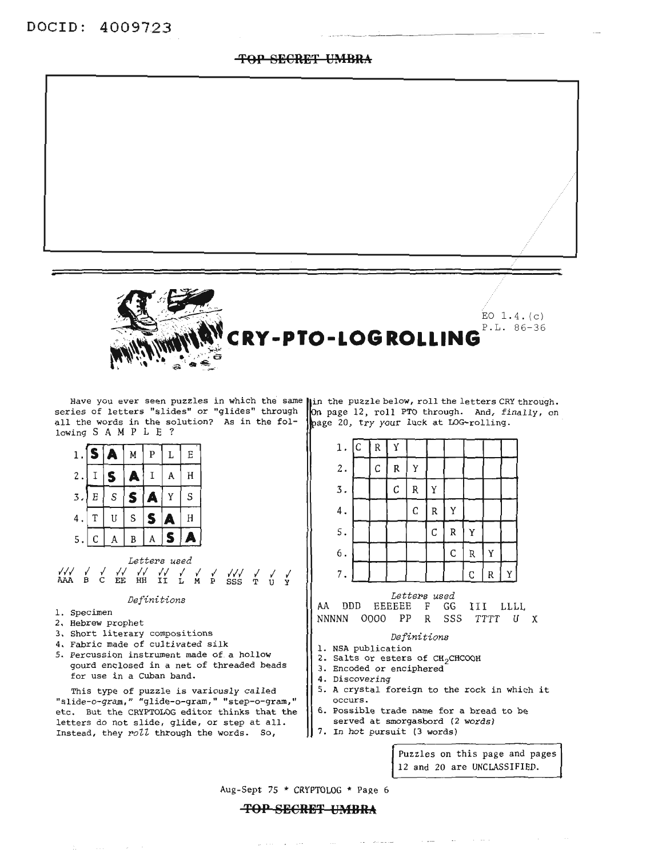### **'fOP SECRE'f UMBRA**



EO  $1.4.(c)$ P.L. 86-36 **RY-PTO-LOGROLLING** 

Have you ever seen puzzles in which the same series of letters "slides" or "glides" through all the words in the solution? As in the following SAM P <sup>L</sup> E ?

3. Short literary compositions 4. Fabric made of cultivated silk

for use in a Cuban band.

5. Percussion instrument made of a hollow gourd enclosed in a net of threaded beads

This type of puzzle is variously called "slide-o-gram," "glide-o-gram," "step-o-gram," etc. But the CRYPTOLOG editor thinks that the letters do not slide, glide, or step at all. Instead, they *roll* through the words. So,

in the puzzle below, roll the letters CRY through. n the puzzle below, roll the letters CRY through.<br>n page 12, roll PTO through. And, finally, on n page 12, roll PTO through. And, fi<br>age 20, try your luck at LOG-rolling.



#### *Definitions*

- 1. NSA publication
- 2. Salts or esters of CH<sub>2</sub>CHCOOH
- 3. Encoded or enciphered
- 4. Discovering
- 5. <sup>A</sup> crystal foreign to the rock in which it occurs.
- 6. possible trade name for a bread to be
- served at smorgasbord (2 words)
- 7. In hot pursuit (3 words)

 $\sim 100$ 

Puzzles on this page and pages 12 and 20 are UNCLASSIFIED.

 $\lceil \cdot \rceil$   $\lceil \cdot \rceil$ 

Aug-Sept 75 \* CRYPTOLOG \* Page 6

### **'fOP SECRE'I' UMBRA**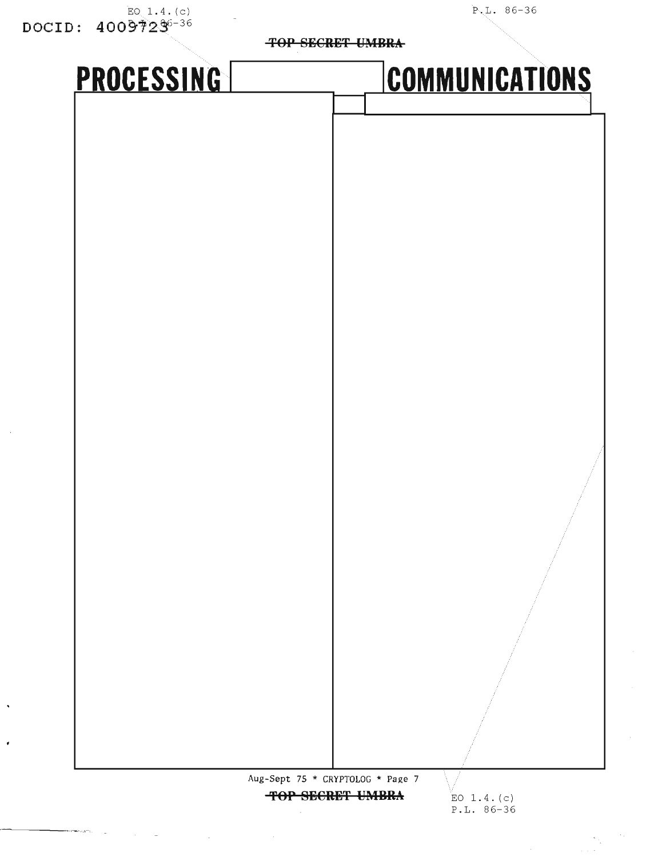| EO $1.4.(c)$<br>$\texttt{DOCID}: \ \ 4009723^{6-36}$ |                                  | $P.L. 86-36$          |  |
|------------------------------------------------------|----------------------------------|-----------------------|--|
|                                                      | <b>TOP SECRET UMBRA-</b>         |                       |  |
| PROCESSING                                           |                                  | <b>COMMUNICATIONS</b> |  |
|                                                      |                                  |                       |  |
|                                                      |                                  |                       |  |
|                                                      |                                  |                       |  |
|                                                      |                                  |                       |  |
|                                                      |                                  |                       |  |
|                                                      |                                  |                       |  |
|                                                      |                                  |                       |  |
|                                                      |                                  |                       |  |
|                                                      |                                  |                       |  |
|                                                      |                                  |                       |  |
|                                                      |                                  |                       |  |
|                                                      |                                  |                       |  |
|                                                      |                                  |                       |  |
|                                                      |                                  |                       |  |
|                                                      |                                  |                       |  |
|                                                      |                                  |                       |  |
|                                                      |                                  |                       |  |
|                                                      |                                  |                       |  |
|                                                      |                                  |                       |  |
|                                                      |                                  |                       |  |
|                                                      |                                  |                       |  |
|                                                      |                                  |                       |  |
|                                                      |                                  |                       |  |
|                                                      | Aug-Sept 75 * CRYPTOLOG * Page 7 |                       |  |

**TOP SBCRBT UMBRA**

ŀ,

 $\ddot{\phantom{1}}$ 

EO  $1.4. (c)$ P.L. 86-36

 $\epsilon_{\rm{in}}$ 

 $\sim$  .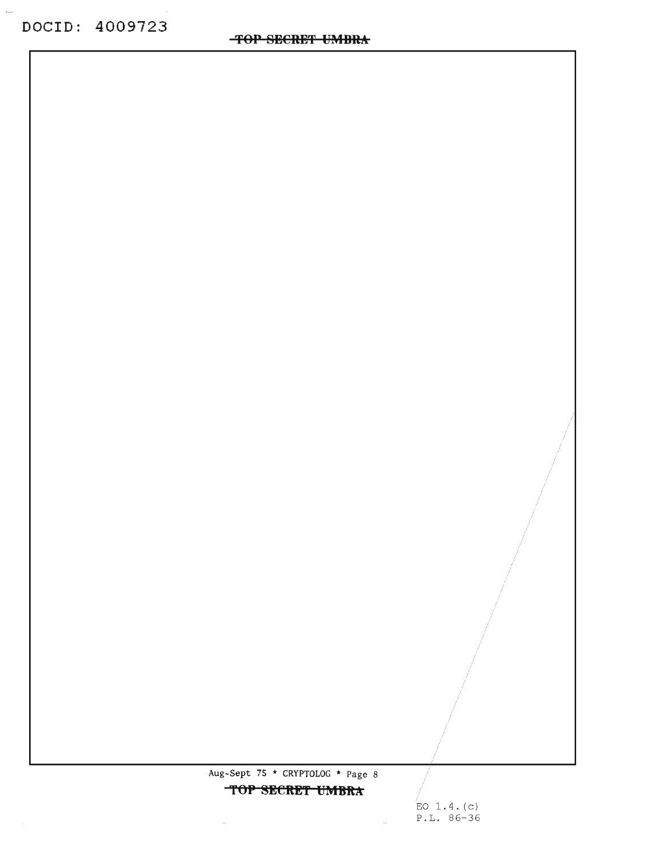$\ddot{\phantom{a}}$ 

Aug-Sept 7S \* CRYPTOLOG \* Page 8

**TOP SECRET UMBRA** 

EO  $1.4. (c)$ P.L. 86-36

 $\sim 10^{-1}$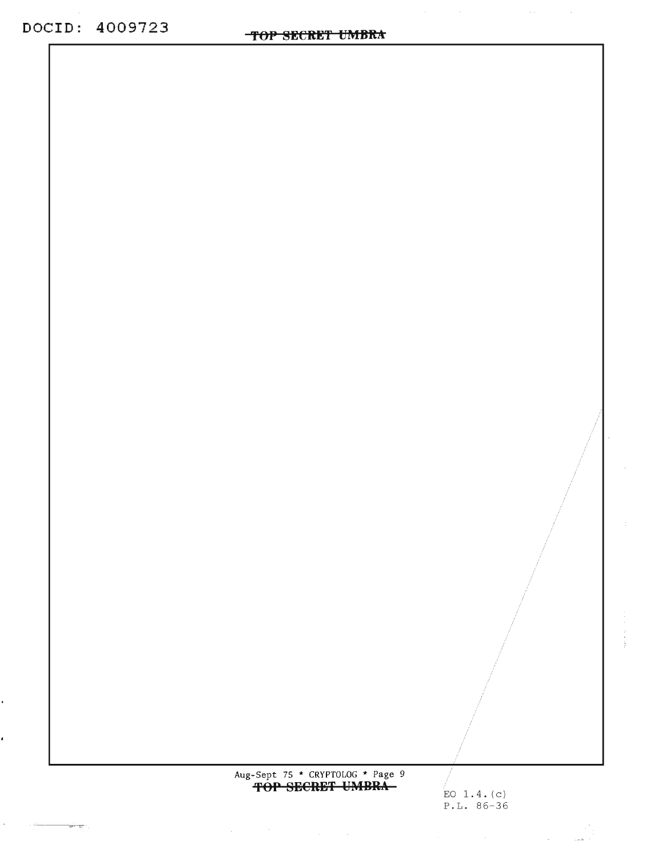$\ddot{\phantom{0}}$ 

¢

 $\sigma_{\rm{max}}$ 

**Contractor** 

 $\mathbb{R}^{n}$  ,  $\mathbb{R}^{n}$  :

Aug-Sept 75 \* CRYPTOLOG \* Page 9<br> **FOP SECRET UMBRA** 

 $\label{eq:2.1} \frac{1}{\sqrt{2}}\int_{\mathbb{R}^3}\frac{1}{\sqrt{2}}\left(\frac{1}{\sqrt{2}}\right)^2\frac{1}{\sqrt{2}}\left(\frac{1}{\sqrt{2}}\right)^2\frac{1}{\sqrt{2}}\left(\frac{1}{\sqrt{2}}\right)^2\frac{1}{\sqrt{2}}\left(\frac{1}{\sqrt{2}}\right)^2\frac{1}{\sqrt{2}}\left(\frac{1}{\sqrt{2}}\right)^2\frac{1}{\sqrt{2}}\frac{1}{\sqrt{2}}\frac{1}{\sqrt{2}}\frac{1}{\sqrt{2}}\frac{1}{\sqrt{2}}\frac{1}{\sqrt{2}}$ 

EO 1.4. (c) P.L. 86-36

الي المعلمين التي تعالى المعلمين التي تعالى المعلمين التي تعالى المعلمين التي تعالى المعلمين التي تعالى المعلم<br>المعلمين المعلمين المعلمين المعلمين المعلمين المعلمين المعلمين المعلمين المعلمين المعلمين المعلمين المعلمين ال

 $\Delta\omega_{\rm{eff}}=0.01$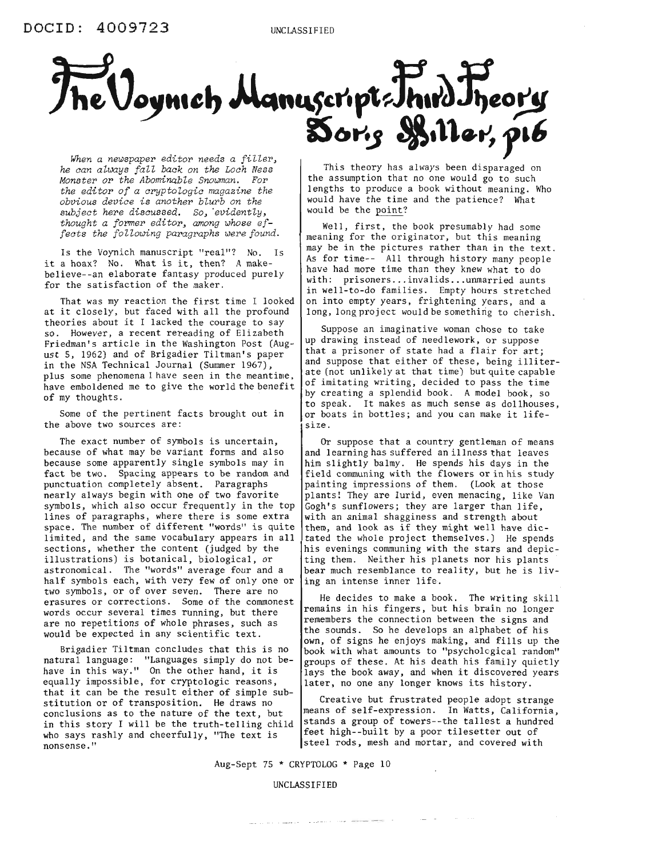

*he can always fall back on the Loch Ness Monster or the Abominable Snowman. For the editor of a cryptologic magazine the obvious device is another blurb on the subject here discussed. So, 'evidently, thought a former editor, among whose effects the following paragraphs were found.*

Is the Voynich manuscript "real"? No. Is it <sup>a</sup> hoax? No. What is it, then? <sup>A</sup> makebelieve--an elaborate fantasy produced purely for the satisfaction of the maker.

That was my reaction the first time I looked at it closely, but faced with all the profound theories about it <sup>I</sup> lacked the courage to say so. However, a recent rereading of Elizabeth Friedman's article in the Washington Post (August 5, 1962) and of Brigadier Tiltman's paper in the NSA Technical Journal (Summer 1967), plus some phenomena I have seen in the meantime, have emboldened me to give the world the benefit of my thoughts.

Some of the pertinent facts brought out in the above two sources are:

The exact number of symbols is uncertain, because of what may be variant forms and also because some apparently single symbols may in fact be two. Spacing appears to be random and punctuation completely absent. Paragraphs nearly always begin with one of two favorite symbols, which also occur frequently in the top lines of paragraphs, where there is some extra space. The number of different "words" is quite limited, and the same vocabulary appears in all sections, whether the content (judged by the illustrations) is botanical, biological, or astronomical. The "words" average four and a half symbols each, with very few of only one or two symbols, or of over seven. There are no erasures or corrections. Some of the commonest words occur several times running, but there are no repetitions of whole phrases, such as would be expected in any scientific text.

Brigadier Tiltman concludes that this is no natural language: "Languages simply do not behave in this way." On the other hand, it is equally impossible, for cryptologic reasons, that it can be the result either of simple substitution or of transposition. He draws no conclusions as to the nature of the text, but in this story I will be the truth-telling child who says rashly and cheerfully, "The text is nonsense."

This theory has always been disparaged on the assumption that no one would go to such lengths to produce a book without meaning. Who would have the time and the patience? What would be the point?

Well, first, the book presumably had some meaning for the originator, but this meaning may be in the pictures rather than in the text. As for time-- All through history many people have had more time than they knew what to do with: prisoners... invalids...unmarried aunts in well-to-do families. Empty hours stretched on into empty years, frightening years, and a long, long project would be something to cherish.

Suppose an imaginative woman chose to take up drawing instead of needlework, or suppose that a prisoner of state had a flair for art; and suppose that either of these, being illiterate (not unlikely at that time) but quite capable of imitating writing, decided to pass the time by creating a splendid book. A model book, so to speak. It makes as much sense as dollhouses, or boats in bottles; and you can make it lifesize.

Or suppose that a country gentleman of means and learning has suffered an illness that leaves him slightly balmy. He spends his days in the field communing with the flowers or in his study painting impressions of them. (Look at those plants! They are lurid, even menacing, like Van Gogh's sunflowers; they are larger than life, with an animal shagginess and strength about them, and look as if they might well have dictated the whole project themselves.) He spends his evenings communing with the stars and depicting them. Neither his planets nor his plants bear much resemblance to reality, but he is living an intense inner life.

He decides to make a book. The writing skill remains in his fingers, but his brain no longer remembers the connection between the signs and the sounds. So he develops an alphabet of his own, of signs he enjoys making, and fills up the book with what amounts to "psycholcgical random" groups of these. At his death his family quietly lays the book away, and when it discovered years later, no one any longer knows its history.

Creative but frustrated people adopt strange means of self-expression. In Watts, California, stands a group of towers--the tallest a hundred feet high--built by a poor tilesetter out of steel rods, mesh and mortar, and covered with

 $\label{eq:1} \begin{array}{cccccccccc} \cdots & \cdots & \cdots & \cdots & \cdots \end{array}$ 

 $\sim 10^{-1}$ 

Aug-Sept 75 \* CRYPTOLOG \* Page 10

UNCLASSIFIED

and the second contract of the contract of the contract property of the contract of the contract of the contract of the contract of the contract of the contract of the contract of the contract of the contract of the contra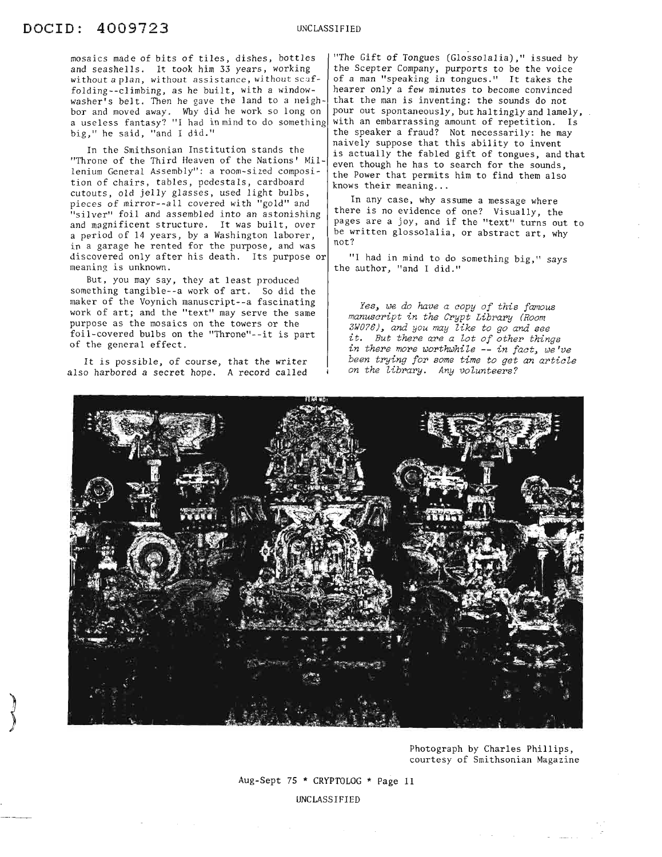mosaics made of bits of tiles, dishes, bottles and seashells. It took him 33 years, working without a plan, without assistance, without  $scaf$ folding--climbing, as he built, with a windowwasher's belt. Then he gave the land to a neighbor and moved away. Why did he work so long on a useless fantasy? "I had in mind to do something big," he said, "and I did."

In the Smithsonian Institution stands the "Throne of the Third Heaven of the Nations' Millenium General Assembly": a room-sized composition of chairs, tables, pedestals, cardboard cutouts, old jelly glasses, used light bulbs, pieces of mirror--all covered with "gold" and "silver" foil and assembled into an astonishing and magnificent structure. It was built, over a period of 14 years, by a Washington laborer, in a garage he rented for the purpose, and was discovered only after his death. Its purpose or meaning is unknown.

But, you may say, they at least produced something tangible--a work of art. So did the maker of the Voynich manuscript--a fascinating work of art; and the "text" may serve the same purpose as the mosaics on the towers or the foil-covered bulbs on the "Throne"--it is part of the general effect.

It is possible, of course, that the writer also harbored a secret hope. A record called

"The Gift of Tongues (Glossolalia)," issued by the Scepter Company, purports to be the voice of a man "speaking in tongues." It takes the hearer only a few minutes to become convinced that the man is inventing: the sounds do not pour out spontaneously, but haltingly and lamely, with an embarrassing amount of repetition. Is the speaker a fraud? Not necessarily: he may naively suppose that this ability to invent is actually the fabled gift of tongues, and that even though he has to search for the sounds, the Power that permits him to find them also knows their meaning...

In any case, why assume a message where there is no evidence of one? Visually, the pages are a joy, and if the "text" turns out to be written glossolalia, or abstract art, why not?

"I had in mind to do something big," says the author, "and I did."

*Yes, we do have a copy of this famous manuscript in the Crypt Library (Room 3WO?6), and you may like to go and see it. But there are a lot of other things in there more worthwhile* **--** *in fact, we've been trying for some time* to *get an article on the library. Any volunteers?*



Photograph by Charles Phillips, courtesy of Smithsonian Magazine

Aug-Sept 75 \* CRYPTOLOG \* Page 11

UNCLASSIFIED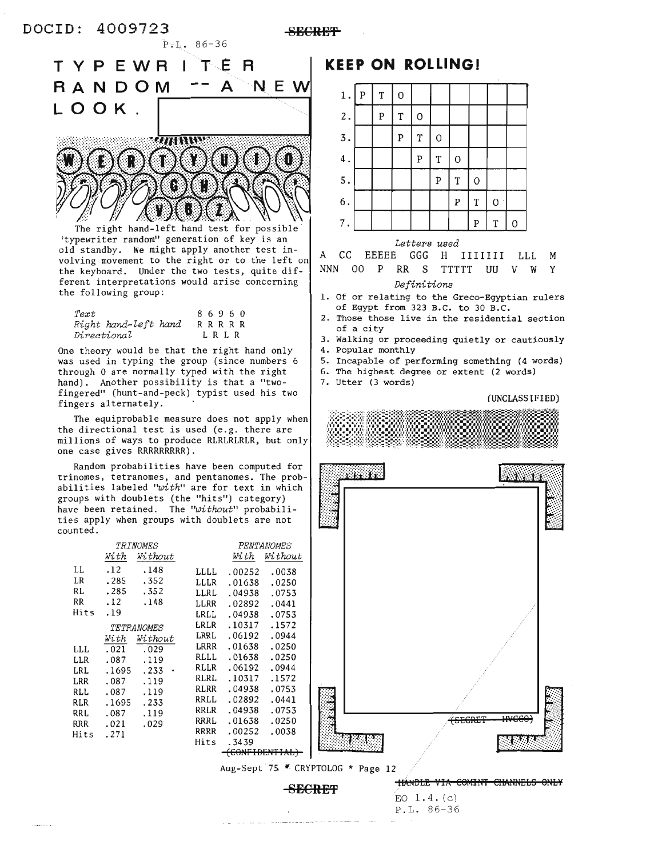**8BCRE'f**



P;.L. 86-36

volving movement to the right or to the left on the keyboard. Under the two tests, quite different interpretations would arise concerning the following group:

86960 R R R R R L R L R *Text Right hand-left hand Directional*

One theory would be that the right hand only was used in typing the group (since numbers 6 through 0 are normally typed with the right hand). Another possibility is that a "twofingered" (hunt-and-peck) typist used his two fingers alternately.

The equiprobable measure does not apply when the directional test is used (e.g. there are millions of ways to produce RLRLRLRLR, but only one case gives RRRRRRRRR).

Random probabilities have been computed for trinomes, tetranomes, and pentanomes. The probabilities labeled *"with"* are for text in which groups with doublets (the "hits") category) have been retained. The *"without"* probabilities apply when groups with doublets are not counted.

|      |       | TRINOMES   |      |        | PENTANOMES     |  |                                  |                |
|------|-------|------------|------|--------|----------------|--|----------------------------------|----------------|
|      | With  | Without    |      | With   | Without        |  |                                  |                |
| LL   | .12   | .148       | LLLL | .00252 | .0038          |  |                                  |                |
| LR   | .285  | .352       | LLLR | .01638 | .0250          |  |                                  |                |
| RL   | .285  | .352       | LLRL | .04938 | .0753          |  |                                  |                |
| RR   | .12   | .148       | LLRR | .02892 | .0441          |  |                                  |                |
| Hits | .19   |            | LRLL | .04938 | .0753          |  |                                  |                |
|      |       | TETRANOMES | LRLR | .10317 | .1572          |  |                                  |                |
|      | With  | Without    | LRRL | .06192 | .0944          |  |                                  |                |
| LLL. | .021  | .029       | LRRR | .01638 | .0250          |  |                                  |                |
| LLR  | .087  | .119       | RLLL | .01638 | .0250          |  |                                  |                |
| LRL  | .1695 | $.233 -$   | RLLR | .06192 | .0944          |  |                                  |                |
| LRR  | .087  | .119       | RLRL | .10317 | .1572          |  |                                  |                |
| RLL  | .087  | .119       | RLRR | .04938 | .0753          |  |                                  |                |
| RLR  | .1695 | .233       | RRLL | .02892 | .0441          |  |                                  |                |
| RRL  | .087  | .119       | RRLR | .04938 | .0753          |  |                                  |                |
| RRR  | .021  | .029       | RRRL | .01638 | .0250          |  | <i>recence</i><br>$\sigma$ LURLI | uncca<br>ᡣᡳᠸᠸᠸ |
| Hits | .271  |            | RRRR | .00252 | .0038          |  |                                  |                |
|      |       |            | Hits | .3439  |                |  |                                  |                |
|      |       |            |      |        | (CONFIDENTIAL) |  |                                  |                |

**KEEP ON ROLLING!**



#### *Letters used*

M Y LLL 00 P RR S TTTTT UU V W CC EEEEE *GGG* H 1111111 A NNN 00 P

### *Definitions*

- 1. Of or relating to the Greco-Egyptian rulers of Egypt from 323 B.C. to 30 B.C.
- 2. Those those live in the residential section of a city
- 3. Walking or proceeding quietly or cautiously
- 4. Popular monthly
- 5. Incapable of performing something (4 words)
- 6. The highest degree or extent (2 words)
- 7. Utter (3 words)

(UNCLASSIFIED)





Aug-Sept 7£ CRYPTOLOG \* Page 12

**SECRET TIANDLE VIA COMINT CHANNELS ONLY** 

EO 1.4. (c) P.L. 86-36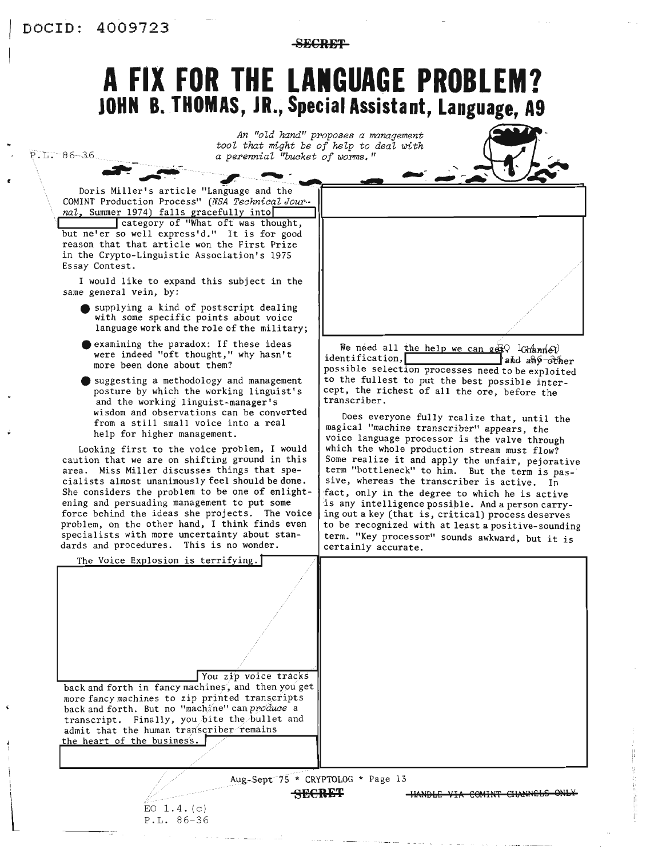$P.L. 86-36$ 

**SECRET** 

## A FIX FOR THE LANGUAGE PROBLEM? JOHN B. THOMAS, JR., Special Assistant, Language, A9

|  | An "old hand" proposes a management     |  |  |  |
|--|-----------------------------------------|--|--|--|
|  | tool that might be of help to deal with |  |  |  |
|  | a perennial "bucket of worms."          |  |  |  |



Doris Miller's article "Language and the COMINT Production Process" (NSA Technical Jour-

nal, Summer 1974) falls gracefully into<br>category of "What oft was thought,<br>but ne'er so well express'd." It is for good reason that that article won the First Prize in the Crypto-Linguistic Association's 1975 Essay Contest.

I would like to expand this subject in the same general vein, by:

- supplying a kind of postscript dealing with some specific points about voice language work and the role of the military;
- examining the paradox: If these ideas were indeed "oft thought," why hasn't more been done about them?
- suggesting a methodology and management posture by which the working linguist's and the working linguist-manager's wisdom and observations can be converted from a still small voice into a real help for higher management.

Looking first to the voice problem, I would caution that we are on shifting ground in this area. Miss Miller discusses things that specialists almost unanimously feel should be done. She considers the problem to be one of enlightening and persuading management to put some force behind the ideas she projects. The voice problem, on the other hand, I think finds even specialists with more uncertainty about standards and procedures. This is no wonder.

We need all the help we can get lChannel identification, and ano-other possible selection processes need to be exploited to the fullest to put the best possible intercept, the richest of all the ore, before the transcriber.

Does everyone fully realize that, until the magical "machine transcriber" appears, the voice language processor is the valve through which the whole production stream must flow? Some realize it and apply the unfair, pejorative term "bottleneck" to him. But the term is passive, whereas the transcriber is active. In fact, only in the degree to which he is active is any intelligence possible. And a person carrying out a key (that is, critical) process deserves to be recognized with at least a positive-sounding term. "Key processor" sounds awkward, but it is certainly accurate.

| The Voice Explosion is terrifying.                 |                                 |
|----------------------------------------------------|---------------------------------|
|                                                    |                                 |
|                                                    |                                 |
|                                                    |                                 |
|                                                    |                                 |
| You zip voice tracks                               |                                 |
| back and forth in fancy machines, and then you get |                                 |
| more fancy machines to zip printed transcripts     |                                 |
| back and forth. But no "machine" can produce a     |                                 |
| transcript. Finally, you bite the bullet and       |                                 |
| admit that the human transcriber remains           |                                 |
| the heart of the business.                         |                                 |
|                                                    |                                 |
|                                                    |                                 |
| Aug-Sept 75 * CRYPTOLOG * Page 13                  |                                 |
| SECRET                                             | HANDLE VIA COMINT CHANNELS ONLY |

 $EO$  1.4. $(c)$ P.L. 86-36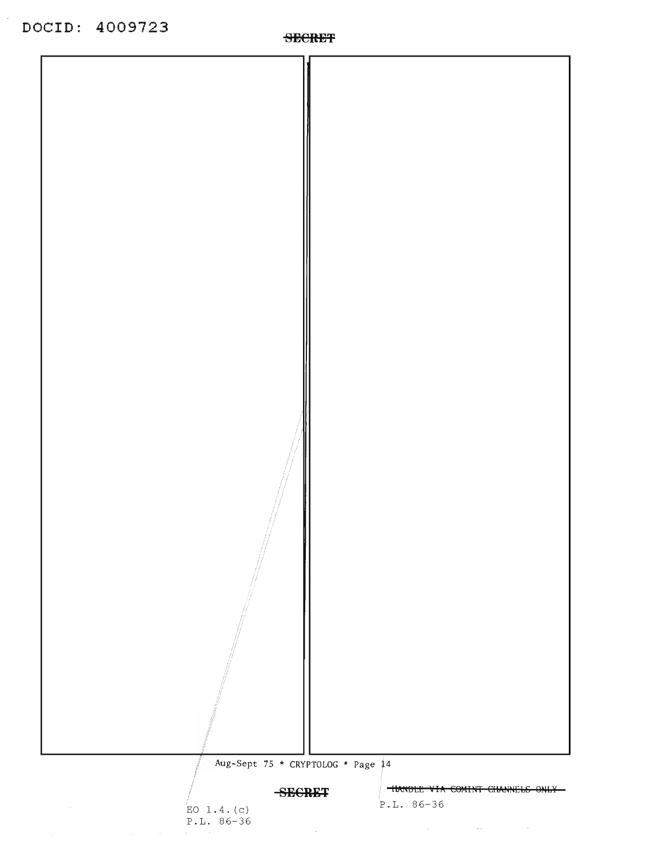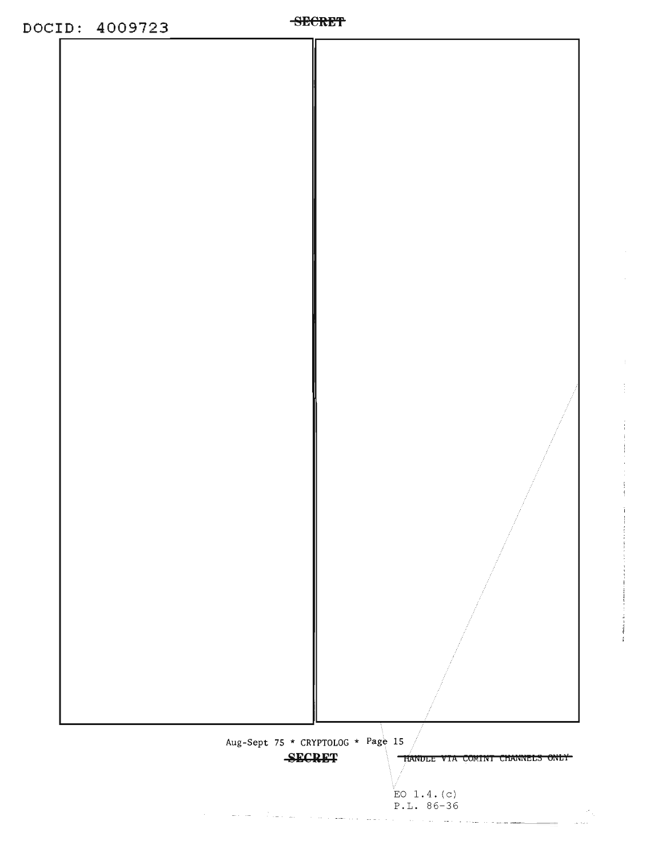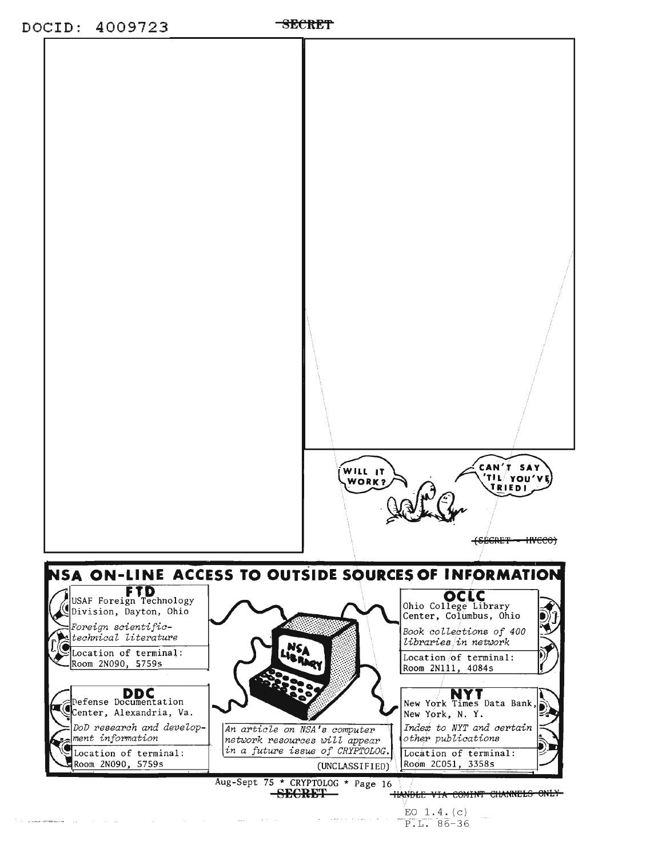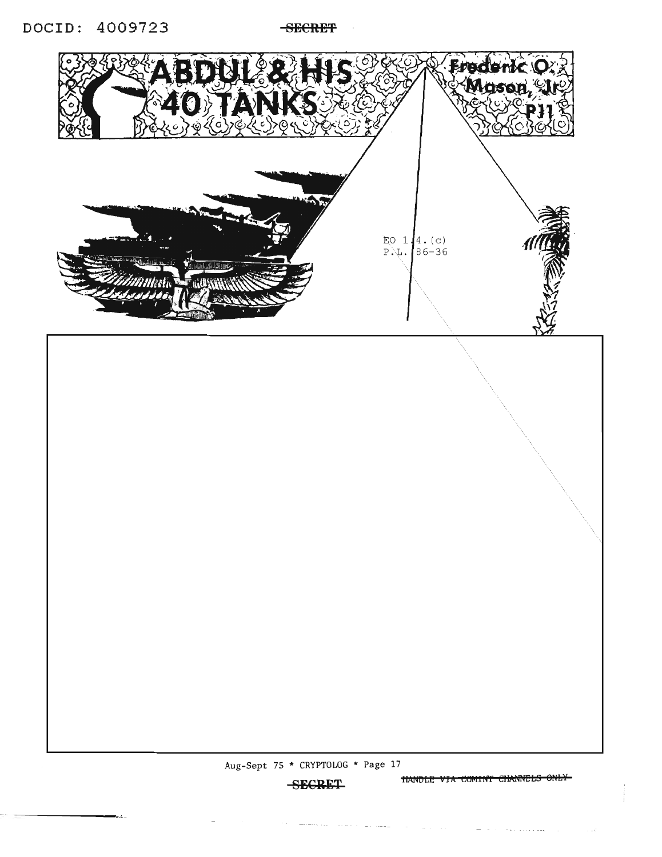**SECRET** 



 $\sim$   $\sim$   $\sim$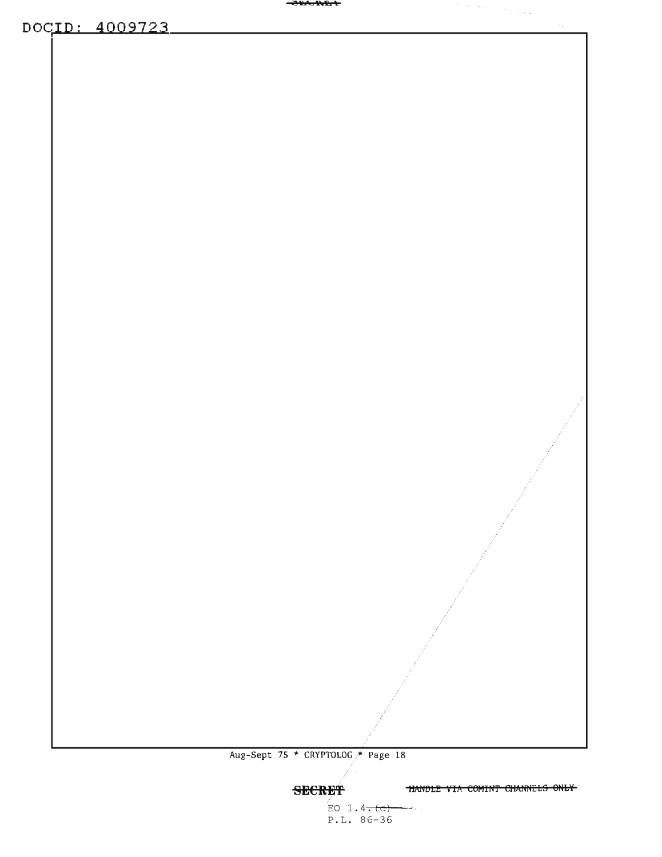<del>-Jermer</del>

DOCID: 4009723

Aug-Sept 75 \* CRYPTOLOG \* Page 18

**HANDLE VIA COMINT CHANNELS ONLY** 

 $\mathcal{I} = \mathcal{I} \cup \mathcal{I}$  , where  $\mathcal{I} = \{ \mathcal{I} \cup \mathcal{I} \cup \mathcal{I} \}$ 

 $\sim_{\rm g}$ 

**SECRET**  $EO 1.4. (c)$  $P.L. 86-36$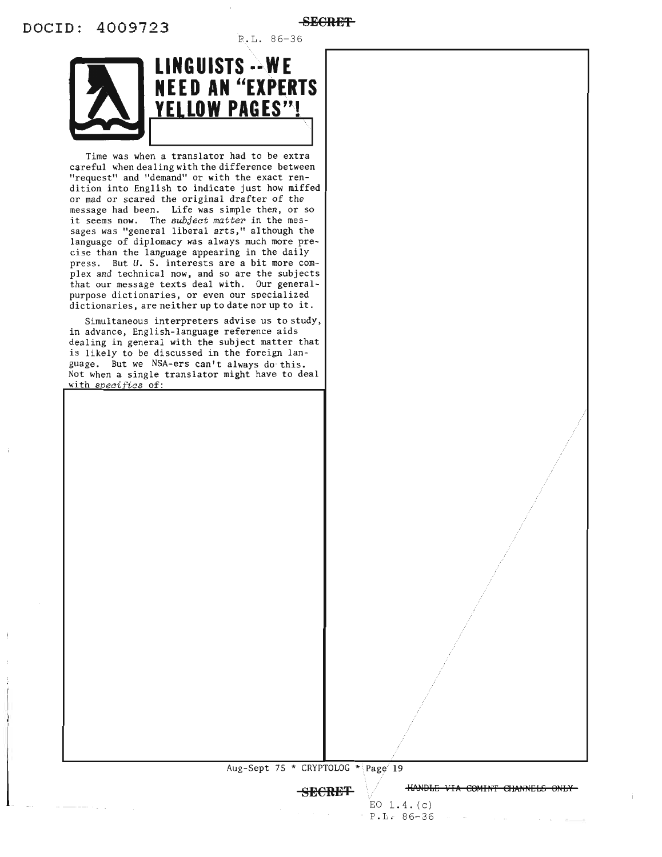P.L. 86-36



Time was when a translator had to be extra careful when dealing with the difference between "request" and "demand" or with the exact rendition into English to indicate just how miffed or mad or scared the original drafter of the message had been. Life was simple then, or so it seems now. The subject matter in the messages was "general liberal arts," although the language of diplomacy was always much more precise than the language appearing in the daily press. But U. S. interests are a bit more complex and technical now, and so are the subjects that our message texts deal with. Our generalpurpose dictionaries, or even our specialized dictionaries, are neither up to date nor up to it.

Simultaneous interpreters advise us to study, in advance, English-language reference aids dealing in general with the subject matter that is likely to be discussed in the foreign language. But we NSA-ers can't always do this. Not when a single translator might have to deal with specifics of:

Aug-Sept 75 \* CRYPTOLOG \* Page 19

**SECRET** 

**HANDLE VIA COMINT CHANNELS ONLY** 

 $\sim$   $\sim$ 

EO  $1.4. (c)$  $P.L. 86-36$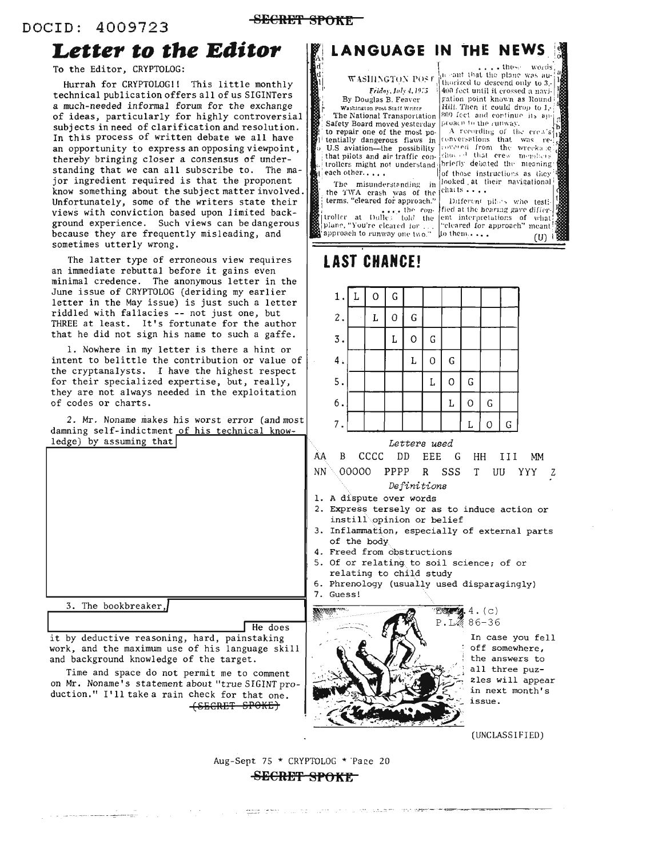### -SECRET SPOKE

### Letter to the Editor

To the Editor, CRYPTOLOG:

Hurrah for CRYPTOLOG!! This little monthly technical publication offers all of us SIGINTers a much-needed informal forum for the exchange of ideas, particularly for highly controversial subjects in need of clarification and resolution. In this process of written debate we all have an opportunity to express an opposing viewpoint, thereby bringing closer a consensus of understanding that we can all subscribe to. The major ingredient required is that the proponent know something about the subject matter involved. Unfortunately, some of the writers state their views with conviction based upon limited background experience. Such views can be dangerous because they are frequently misleading, and sometimes utterly wrong.

The latter type of erroneous view requires an immediate rebuttal before it gains even minimal credence. The anonymous letter in the June issue of CRYPTOLOG (deriding my earlier letter in the May issue) is just such a letter riddled with fallacies -- not just one, but THREE at least. It's fortunate for the author that he did not sign his name to such a gaffe.

1. Nowhere in my letter is there a hint or intent to belittle the contribution or value of the cryptanalysts. I have the highest respect for their specialized expertise, but, really, they are not always needed in the exploitation of codes or charts.

2. Mr. Noname makes his worst error (and most damning self-indictment of his technical know $ledge)$  by assuming that

|  | 3. The bookbreaker, |  |
|--|---------------------|--|
|  |                     |  |

He does it by deductive reasoning, hard, painstaking work, and the maximum use of his language skill and background knowledge of the target.

Time and space do not permit me to comment on Mr. Noname's statement about "true SIGINT production." I'll take a rain check for that one. <del>(SECRET SPOKE)</del>

### LANGUAGE IN THE NEWS

WASHINGTON POST Friday, July 4, 1975 By Douglas B. Feaver

Washington Post Staff Writer The National Transportation

Safety Board moved yesterday to repair one of the most potentially dangerous flaws in U.S aviation-the possibility that pilots and air traffic controllers might not understand; each other.....

The misunderstanding in the TWA crash was of the terms, "cleared for approach."  $\ldots$  the controller at Dulle; told the

plane, "You're cleared for. approach to runway one two."

 $\ldots$  those words the cant that the plane was authorized to descend only to 3. 400 feet until it crossed a navigation point known as Round Hill. Then it could drop to 1,-809 feet and continue its approach to the cunway.

A recording of the crew's covered from the wrecka.ic<br>showed that crew members briefly debated the meaning of those instructions as they looked at their navigational charts . . . .

Different pilots who testified at the hearing gave different interpretations of what "cleared for approach" meant to them....  $(U)$ 

### **LAST CHANCE!**

|    | 1                | 0    | G |               |            |             |             |   |   |
|----|------------------|------|---|---------------|------------|-------------|-------------|---|---|
|    | $\overline{2}$ . | L    | 0 | ${\mathsf G}$ |            |             |             |   |   |
|    | $\overline{3}$ . |      | L | $\mathbf 0$   | G          |             |             |   |   |
|    | 4.               |      |   | L             | $\circ$    | $\mathsf G$ |             |   |   |
|    | 5.               |      |   |               | L          | $\circ$     | G           |   |   |
|    | 6.               |      |   |               |            | L           | $\mathsf O$ | G |   |
|    | 7.               |      |   |               |            |             |             | Ω | G |
|    |                  |      |   | Letters used  |            |             |             |   |   |
| AA | R                | cccc |   | nn            | <b>FEE</b> | G           | нн          |   |   |

00000 PPPP R SSS T UU YYY Z NN.

### Definitions

- 1. A dispute over words
- 2. Express tersely or as to induce action or instill opinion or belief
- 3. Inflammation, especially of external parts of the body
- 4. Freed from obstructions
- 5. Of or relating to soil science; of or relating to child study
- 6. Phrenology (usually used disparagingly) 7. Guess!



In case you fell off somewhere, the answers to all three puzzles will appear in next month's issue.

**MM** 

(UNCLASSIFIED)

Aug-Sept 75 \* CRYPTOLOG \* Page 20

### SECRET SPOKE

seems teacher and the country of the control and the control property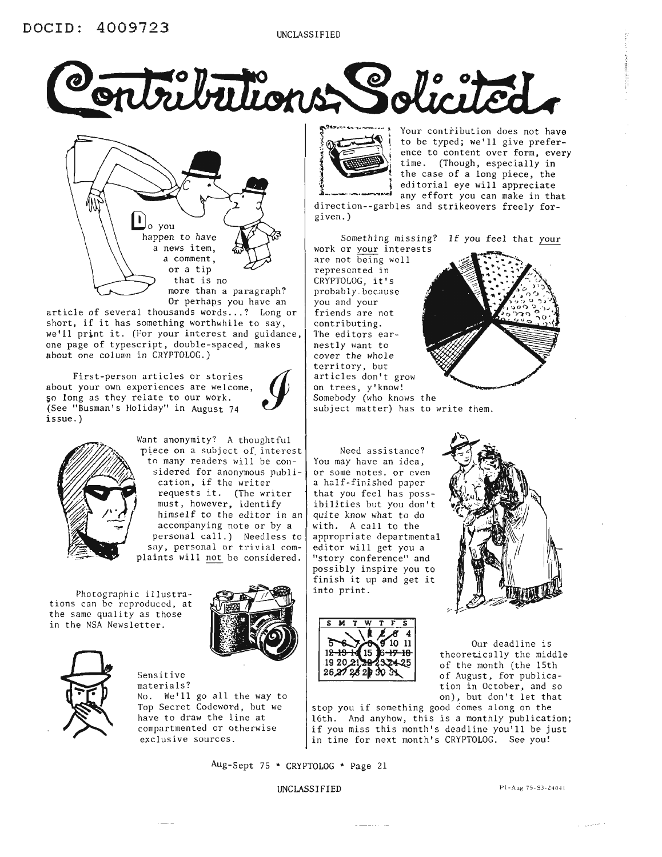



one page of typescript, double-spaced, makes<br>
about one column in CRYPTOLOG.)<br>
First-person articles or stories<br>
about your own experiences are welcome. article of several thousands words ... ? Long or short, if it has something worthwhile to say, we'll print it. (For your interest and guidance, about one column in CRYPTOLOG.)

First-person articles or stories<br>about your own experiences are welcome, So long as they relate to our work. (See "Busman' s Holiday" in August 74 issue.)



Want anonymity? A thoughtful piece on a subject of interest to many readers will be considered for anonymous publication, if the writer requests it. (The writer  $\mathbb{Z}$   $\rightarrow$   $\mathbb{I}$  must, however, identify himself to the editor in an accompanying note or by a personal call.) Needless to say, personal or trivial complaints will not be considered.

Photographic illustrations can be reproduced. at the same quality as those in the NSA Newsletter. SMTWTFS NEWSLET IS MIT W

Sensitive



materials? No. We'll go all the way to Top Secret Codeword, but we have to draw the line at compartmented or otherwise exclusive sources.



Your contribution does not have to be typed; we'll give preference to content over form, every time. (Though, especially in the case of a long piece, the editorial eye will appreciate any effort you can make in that

direction--garbles and strikeovers freely forgiven.)

Something missing? If you feel that your work or your interests

are not being well represented in CRYPTOLOG, it's probably. because you and your friends are not contributing. The editors earnestly want to cover the whole you and your<br>
friends are not<br>
contributing.<br>
The editors ear-<br>
nestly want to<br>
cover the whole<br>
articles don't grow<br>
on trees. v'know! articles don't grow on trees, y'know!<br>Somebody (who knows the



 $\sqrt{4.6101}$ 

finish it up and get it

 $12 - 19 - 14$  15 1920~}  $26,27,28$ 

into print.



Our deadline is theoretically the middle of the month (the 15th of August, for publication in October, and so on), but don't let that

stop you if something good comes along on the 16th. And anyhow, this is a monthly publication; if you miss this month's deadline you'll be just in time for next month's CRYPTOLOG. See you!

Aug-Sept 75 \* CRYPTOLOG \* Page 21

 $UNCLASSIFIED$  Pl-Aug 75-S3-24041

معانين والمراد